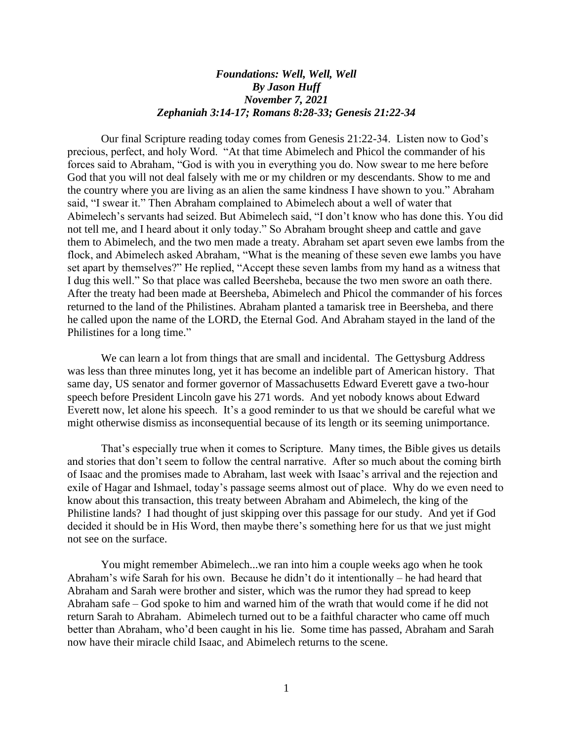## *Foundations: Well, Well, Well By Jason Huff November 7, 2021 Zephaniah 3:14-17; Romans 8:28-33; Genesis 21:22-34*

Our final Scripture reading today comes from Genesis 21:22-34. Listen now to God's precious, perfect, and holy Word. "At that time Abimelech and Phicol the commander of his forces said to Abraham, "God is with you in everything you do. Now swear to me here before God that you will not deal falsely with me or my children or my descendants. Show to me and the country where you are living as an alien the same kindness I have shown to you." Abraham said, "I swear it." Then Abraham complained to Abimelech about a well of water that Abimelech's servants had seized. But Abimelech said, "I don't know who has done this. You did not tell me, and I heard about it only today." So Abraham brought sheep and cattle and gave them to Abimelech, and the two men made a treaty. Abraham set apart seven ewe lambs from the flock, and Abimelech asked Abraham, "What is the meaning of these seven ewe lambs you have set apart by themselves?" He replied, "Accept these seven lambs from my hand as a witness that I dug this well." So that place was called Beersheba, because the two men swore an oath there. After the treaty had been made at Beersheba, Abimelech and Phicol the commander of his forces returned to the land of the Philistines. Abraham planted a tamarisk tree in Beersheba, and there he called upon the name of the LORD, the Eternal God. And Abraham stayed in the land of the Philistines for a long time."

We can learn a lot from things that are small and incidental. The Gettysburg Address was less than three minutes long, yet it has become an indelible part of American history. That same day, US senator and former governor of Massachusetts Edward Everett gave a two-hour speech before President Lincoln gave his 271 words. And yet nobody knows about Edward Everett now, let alone his speech. It's a good reminder to us that we should be careful what we might otherwise dismiss as inconsequential because of its length or its seeming unimportance.

That's especially true when it comes to Scripture. Many times, the Bible gives us details and stories that don't seem to follow the central narrative. After so much about the coming birth of Isaac and the promises made to Abraham, last week with Isaac's arrival and the rejection and exile of Hagar and Ishmael, today's passage seems almost out of place. Why do we even need to know about this transaction, this treaty between Abraham and Abimelech, the king of the Philistine lands? I had thought of just skipping over this passage for our study. And yet if God decided it should be in His Word, then maybe there's something here for us that we just might not see on the surface.

You might remember Abimelech...we ran into him a couple weeks ago when he took Abraham's wife Sarah for his own. Because he didn't do it intentionally – he had heard that Abraham and Sarah were brother and sister, which was the rumor they had spread to keep Abraham safe – God spoke to him and warned him of the wrath that would come if he did not return Sarah to Abraham. Abimelech turned out to be a faithful character who came off much better than Abraham, who'd been caught in his lie. Some time has passed, Abraham and Sarah now have their miracle child Isaac, and Abimelech returns to the scene.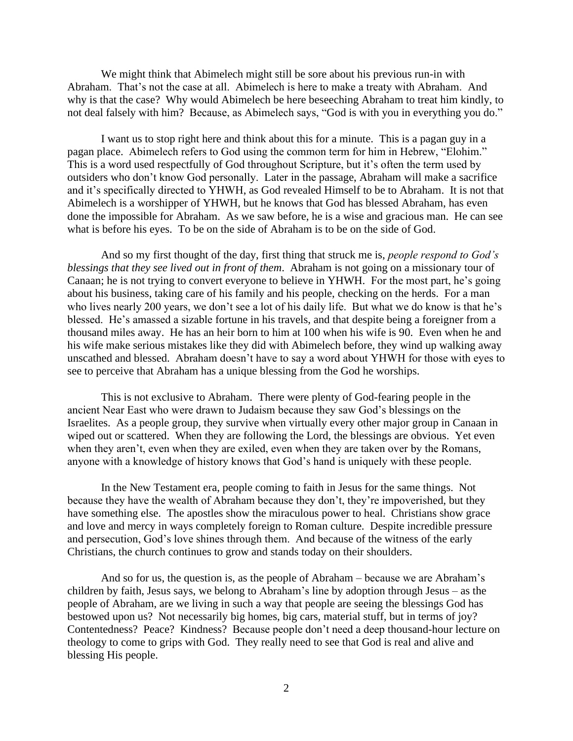We might think that Abimelech might still be sore about his previous run-in with Abraham. That's not the case at all. Abimelech is here to make a treaty with Abraham. And why is that the case? Why would Abimelech be here beseeching Abraham to treat him kindly, to not deal falsely with him? Because, as Abimelech says, "God is with you in everything you do."

I want us to stop right here and think about this for a minute. This is a pagan guy in a pagan place. Abimelech refers to God using the common term for him in Hebrew, "Elohim." This is a word used respectfully of God throughout Scripture, but it's often the term used by outsiders who don't know God personally. Later in the passage, Abraham will make a sacrifice and it's specifically directed to YHWH, as God revealed Himself to be to Abraham. It is not that Abimelech is a worshipper of YHWH, but he knows that God has blessed Abraham, has even done the impossible for Abraham. As we saw before, he is a wise and gracious man. He can see what is before his eyes. To be on the side of Abraham is to be on the side of God.

And so my first thought of the day, first thing that struck me is, *people respond to God's blessings that they see lived out in front of them*. Abraham is not going on a missionary tour of Canaan; he is not trying to convert everyone to believe in YHWH. For the most part, he's going about his business, taking care of his family and his people, checking on the herds. For a man who lives nearly 200 years, we don't see a lot of his daily life. But what we do know is that he's blessed. He's amassed a sizable fortune in his travels, and that despite being a foreigner from a thousand miles away. He has an heir born to him at 100 when his wife is 90. Even when he and his wife make serious mistakes like they did with Abimelech before, they wind up walking away unscathed and blessed. Abraham doesn't have to say a word about YHWH for those with eyes to see to perceive that Abraham has a unique blessing from the God he worships.

This is not exclusive to Abraham. There were plenty of God-fearing people in the ancient Near East who were drawn to Judaism because they saw God's blessings on the Israelites. As a people group, they survive when virtually every other major group in Canaan in wiped out or scattered. When they are following the Lord, the blessings are obvious. Yet even when they aren't, even when they are exiled, even when they are taken over by the Romans, anyone with a knowledge of history knows that God's hand is uniquely with these people.

In the New Testament era, people coming to faith in Jesus for the same things. Not because they have the wealth of Abraham because they don't, they're impoverished, but they have something else. The apostles show the miraculous power to heal. Christians show grace and love and mercy in ways completely foreign to Roman culture. Despite incredible pressure and persecution, God's love shines through them. And because of the witness of the early Christians, the church continues to grow and stands today on their shoulders.

And so for us, the question is, as the people of Abraham – because we are Abraham's children by faith, Jesus says, we belong to Abraham's line by adoption through Jesus – as the people of Abraham, are we living in such a way that people are seeing the blessings God has bestowed upon us? Not necessarily big homes, big cars, material stuff, but in terms of joy? Contentedness? Peace? Kindness? Because people don't need a deep thousand-hour lecture on theology to come to grips with God. They really need to see that God is real and alive and blessing His people.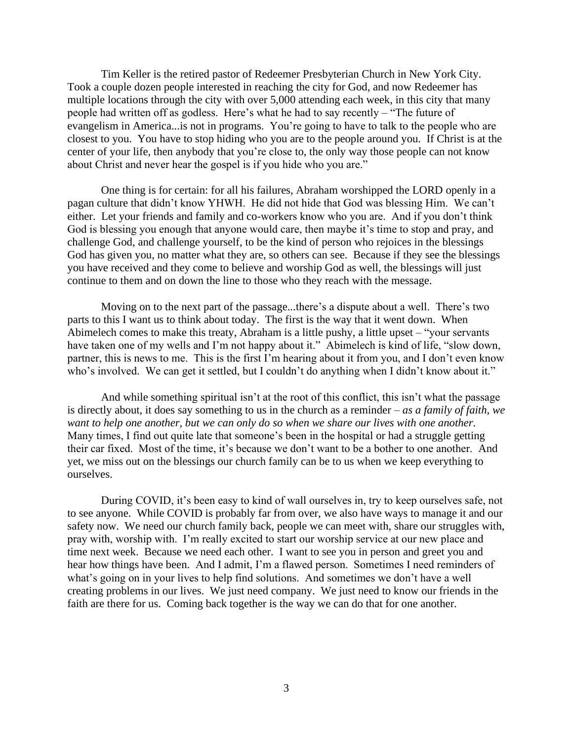Tim Keller is the retired pastor of Redeemer Presbyterian Church in New York City. Took a couple dozen people interested in reaching the city for God, and now Redeemer has multiple locations through the city with over 5,000 attending each week, in this city that many people had written off as godless. Here's what he had to say recently – "The future of evangelism in America...is not in programs. You're going to have to talk to the people who are closest to you. You have to stop hiding who you are to the people around you. If Christ is at the center of your life, then anybody that you're close to, the only way those people can not know about Christ and never hear the gospel is if you hide who you are."

One thing is for certain: for all his failures, Abraham worshipped the LORD openly in a pagan culture that didn't know YHWH. He did not hide that God was blessing Him. We can't either. Let your friends and family and co-workers know who you are. And if you don't think God is blessing you enough that anyone would care, then maybe it's time to stop and pray, and challenge God, and challenge yourself, to be the kind of person who rejoices in the blessings God has given you, no matter what they are, so others can see. Because if they see the blessings you have received and they come to believe and worship God as well, the blessings will just continue to them and on down the line to those who they reach with the message.

Moving on to the next part of the passage...there's a dispute about a well. There's two parts to this I want us to think about today. The first is the way that it went down. When Abimelech comes to make this treaty, Abraham is a little pushy, a little upset – "your servants have taken one of my wells and I'm not happy about it." Abimelech is kind of life, "slow down, partner, this is news to me. This is the first I'm hearing about it from you, and I don't even know who's involved. We can get it settled, but I couldn't do anything when I didn't know about it."

And while something spiritual isn't at the root of this conflict, this isn't what the passage is directly about, it does say something to us in the church as a reminder – *as a family of faith, we want to help one another, but we can only do so when we share our lives with one another*. Many times, I find out quite late that someone's been in the hospital or had a struggle getting their car fixed. Most of the time, it's because we don't want to be a bother to one another. And yet, we miss out on the blessings our church family can be to us when we keep everything to ourselves.

During COVID, it's been easy to kind of wall ourselves in, try to keep ourselves safe, not to see anyone. While COVID is probably far from over, we also have ways to manage it and our safety now. We need our church family back, people we can meet with, share our struggles with, pray with, worship with. I'm really excited to start our worship service at our new place and time next week. Because we need each other. I want to see you in person and greet you and hear how things have been. And I admit, I'm a flawed person. Sometimes I need reminders of what's going on in your lives to help find solutions. And sometimes we don't have a well creating problems in our lives. We just need company. We just need to know our friends in the faith are there for us. Coming back together is the way we can do that for one another.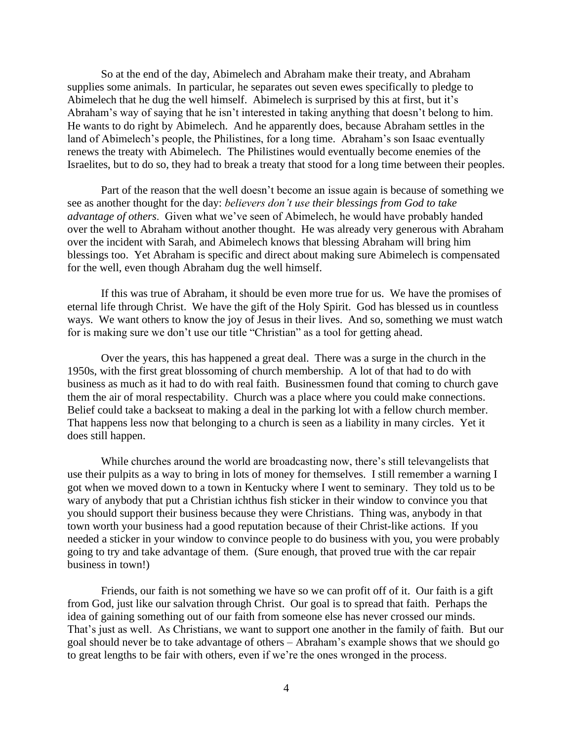So at the end of the day, Abimelech and Abraham make their treaty, and Abraham supplies some animals. In particular, he separates out seven ewes specifically to pledge to Abimelech that he dug the well himself. Abimelech is surprised by this at first, but it's Abraham's way of saying that he isn't interested in taking anything that doesn't belong to him. He wants to do right by Abimelech. And he apparently does, because Abraham settles in the land of Abimelech's people, the Philistines, for a long time. Abraham's son Isaac eventually renews the treaty with Abimelech. The Philistines would eventually become enemies of the Israelites, but to do so, they had to break a treaty that stood for a long time between their peoples.

Part of the reason that the well doesn't become an issue again is because of something we see as another thought for the day: *believers don't use their blessings from God to take advantage of others*. Given what we've seen of Abimelech, he would have probably handed over the well to Abraham without another thought. He was already very generous with Abraham over the incident with Sarah, and Abimelech knows that blessing Abraham will bring him blessings too. Yet Abraham is specific and direct about making sure Abimelech is compensated for the well, even though Abraham dug the well himself.

If this was true of Abraham, it should be even more true for us. We have the promises of eternal life through Christ. We have the gift of the Holy Spirit. God has blessed us in countless ways. We want others to know the joy of Jesus in their lives. And so, something we must watch for is making sure we don't use our title "Christian" as a tool for getting ahead.

Over the years, this has happened a great deal. There was a surge in the church in the 1950s, with the first great blossoming of church membership. A lot of that had to do with business as much as it had to do with real faith. Businessmen found that coming to church gave them the air of moral respectability. Church was a place where you could make connections. Belief could take a backseat to making a deal in the parking lot with a fellow church member. That happens less now that belonging to a church is seen as a liability in many circles. Yet it does still happen.

While churches around the world are broadcasting now, there's still televangelists that use their pulpits as a way to bring in lots of money for themselves. I still remember a warning I got when we moved down to a town in Kentucky where I went to seminary. They told us to be wary of anybody that put a Christian ichthus fish sticker in their window to convince you that you should support their business because they were Christians. Thing was, anybody in that town worth your business had a good reputation because of their Christ-like actions. If you needed a sticker in your window to convince people to do business with you, you were probably going to try and take advantage of them. (Sure enough, that proved true with the car repair business in town!)

Friends, our faith is not something we have so we can profit off of it. Our faith is a gift from God, just like our salvation through Christ. Our goal is to spread that faith. Perhaps the idea of gaining something out of our faith from someone else has never crossed our minds. That's just as well. As Christians, we want to support one another in the family of faith. But our goal should never be to take advantage of others – Abraham's example shows that we should go to great lengths to be fair with others, even if we're the ones wronged in the process.